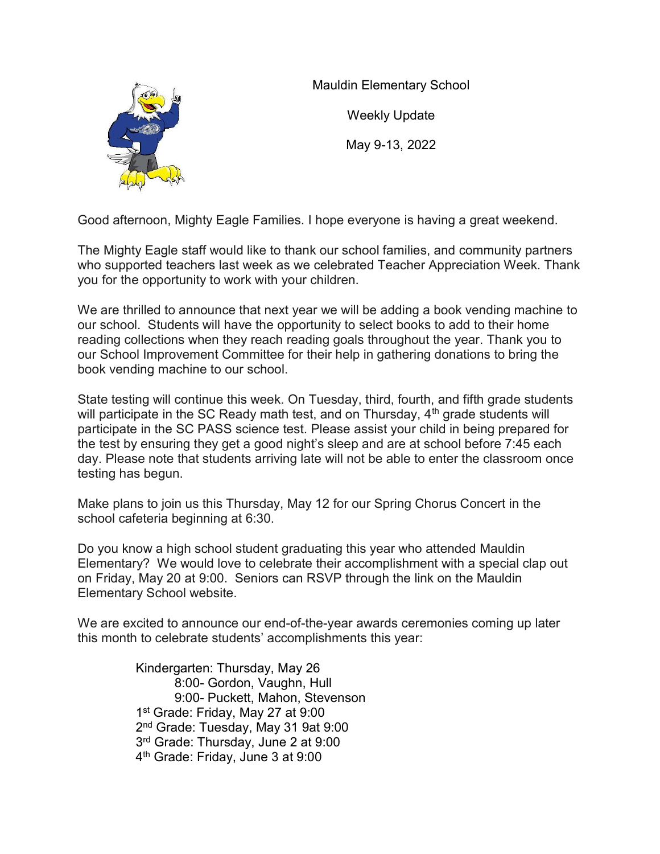

Mauldin Elementary School

Weekly Update

May 9-13, 2022

Good afternoon, Mighty Eagle Families. I hope everyone is having a great weekend.

The Mighty Eagle staff would like to thank our school families, and community partners who supported teachers last week as we celebrated Teacher Appreciation Week. Thank you for the opportunity to work with your children.

We are thrilled to announce that next year we will be adding a book vending machine to our school. Students will have the opportunity to select books to add to their home reading collections when they reach reading goals throughout the year. Thank you to our School Improvement Committee for their help in gathering donations to bring the book vending machine to our school.

State testing will continue this week. On Tuesday, third, fourth, and fifth grade students will participate in the SC Ready math test, and on Thursday,  $4<sup>th</sup>$  grade students will participate in the SC PASS science test. Please assist your child in being prepared for the test by ensuring they get a good night's sleep and are at school before 7:45 each day. Please note that students arriving late will not be able to enter the classroom once testing has begun.

Make plans to join us this Thursday, May 12 for our Spring Chorus Concert in the school cafeteria beginning at 6:30.

Do you know a high school student graduating this year who attended Mauldin Elementary? We would love to celebrate their accomplishment with a special clap out on Friday, May 20 at 9:00. Seniors can RSVP through the link on the Mauldin Elementary School website.

We are excited to announce our end-of-the-year awards ceremonies coming up later this month to celebrate students' accomplishments this year:

> Kindergarten: Thursday, May 26 8:00- Gordon, Vaughn, Hull 9:00- Puckett, Mahon, Stevenson 1 st Grade: Friday, May 27 at 9:00 2 nd Grade: Tuesday, May 31 9at 9:00 3 rd Grade: Thursday, June 2 at 9:00 4 th Grade: Friday, June 3 at 9:00